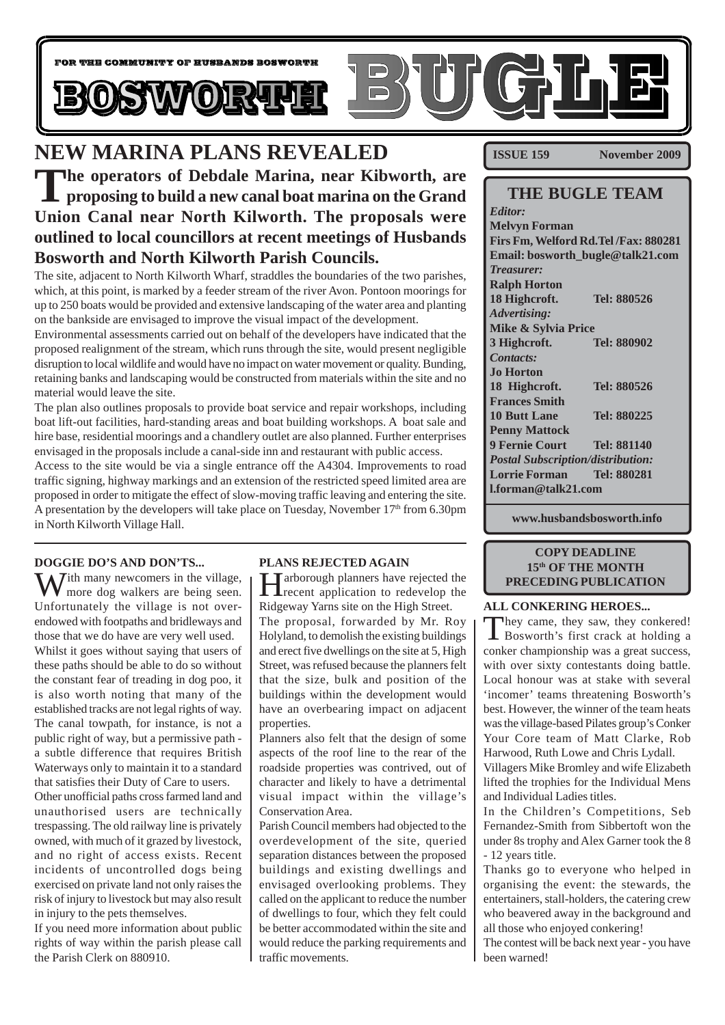

# **NEW MARINA PLANS REVEALED**

**The operators of Debdale Marina, near Kibworth, are proposing to build a new canal boat marina on the Grand Union Canal near North Kilworth. The proposals were outlined to local councillors at recent meetings of Husbands Bosworth and North Kilworth Parish Councils.**

The site, adjacent to North Kilworth Wharf, straddles the boundaries of the two parishes, which, at this point, is marked by a feeder stream of the river Avon. Pontoon moorings for up to 250 boats would be provided and extensive landscaping of the water area and planting on the bankside are envisaged to improve the visual impact of the development.

Environmental assessments carried out on behalf of the developers have indicated that the proposed realignment of the stream, which runs through the site, would present negligible disruption to local wildlife and would have no impact on water movement or quality. Bunding, retaining banks and landscaping would be constructed from materials within the site and no material would leave the site.

The plan also outlines proposals to provide boat service and repair workshops, including boat lift-out facilities, hard-standing areas and boat building workshops. A boat sale and hire base, residential moorings and a chandlery outlet are also planned. Further enterprises envisaged in the proposals include a canal-side inn and restaurant with public access.

Access to the site would be via a single entrance off the A4304. Improvements to road traffic signing, highway markings and an extension of the restricted speed limited area are proposed in order to mitigate the effect of slow-moving traffic leaving and entering the site. A presentation by the developers will take place on Tuesday, November  $17<sup>th</sup>$  from 6.30pm in North Kilworth Village Hall.

#### **DOGGIE DO'S AND DON'TS...**

With many newcomers in the village,<br>more dog walkers are being seen. Unfortunately the village is not overendowed with footpaths and bridleways and those that we do have are very well used. Whilst it goes without saying that users of these paths should be able to do so without the constant fear of treading in dog poo, it is also worth noting that many of the established tracks are not legal rights of way. The canal towpath, for instance, is not a public right of way, but a permissive path a subtle difference that requires British Waterways only to maintain it to a standard that satisfies their Duty of Care to users.

Other unofficial paths cross farmed land and unauthorised users are technically trespassing. The old railway line is privately owned, with much of it grazed by livestock, and no right of access exists. Recent incidents of uncontrolled dogs being exercised on private land not only raises the risk of injury to livestock but may also result in injury to the pets themselves.

If you need more information about public rights of way within the parish please call the Parish Clerk on 880910.

#### **PLANS REJECTED AGAIN**

Harborough planners have rejected the recent application to redevelop the Ridgeway Yarns site on the High Street. The proposal, forwarded by Mr. Roy Holyland, to demolish the existing buildings and erect five dwellings on the site at 5, High Street, was refused because the planners felt that the size, bulk and position of the buildings within the development would have an overbearing impact on adjacent properties.

Planners also felt that the design of some aspects of the roof line to the rear of the roadside properties was contrived, out of character and likely to have a detrimental visual impact within the village's Conservation Area.

Parish Council members had objected to the overdevelopment of the site, queried separation distances between the proposed buildings and existing dwellings and envisaged overlooking problems. They called on the applicant to reduce the number of dwellings to four, which they felt could be better accommodated within the site and would reduce the parking requirements and traffic movements.

**ISSUE 159** November 2009

|                                          | <b>THE BUGLE TEAM</b>                      |
|------------------------------------------|--------------------------------------------|
| Editor:                                  |                                            |
| <b>Melvyn Forman</b>                     |                                            |
|                                          | <b>Firs Fm, Welford Rd.Tel/Fax: 880281</b> |
|                                          | Email: bosworth_bugle@talk21.com           |
| <b>Treasurer:</b>                        |                                            |
| <b>Ralph Horton</b>                      |                                            |
| 18 Highcroft.                            | Tel: 880526                                |
| <b>Advertising:</b>                      |                                            |
| Mike & Sylvia Price                      |                                            |
| 3 Highcroft.                             | Tel: 880902                                |
| <b>Contacts:</b>                         |                                            |
| <b>Jo Horton</b>                         |                                            |
| 18 Highcroft.                            | Tel: 880526                                |
| <b>Frances Smith</b>                     |                                            |
| <b>10 Butt Lane</b>                      | Tel: 880225                                |
| <b>Penny Mattock</b>                     |                                            |
| 9 Fernie Court Tel: 881140               |                                            |
| <b>Postal Subscription/distribution:</b> |                                            |
| <b>Lorrie Forman</b>                     | Tel: 880281                                |
| l.forman@talk21.com                      |                                            |
|                                          |                                            |

**www.husbandsbosworth.info**

#### **COPY DEADLINE 15th OF THE MONTH PRECEDING PUBLICATION**

#### **ALL CONKERING HEROES...**

They came, they saw, they conkered!<br>Bosworth's first crack at holding a conker championship was a great success, with over sixty contestants doing battle. Local honour was at stake with several 'incomer' teams threatening Bosworth's best. However, the winner of the team heats was the village-based Pilates group's Conker Your Core team of Matt Clarke, Rob Harwood, Ruth Lowe and Chris Lydall.

Villagers Mike Bromley and wife Elizabeth lifted the trophies for the Individual Mens and Individual Ladies titles.

In the Children's Competitions, Seb Fernandez-Smith from Sibbertoft won the under 8s trophy and Alex Garner took the 8 - 12 years title.

Thanks go to everyone who helped in organising the event: the stewards, the entertainers, stall-holders, the catering crew who beavered away in the background and all those who enjoyed conkering!

The contest will be back next year - you have been warned!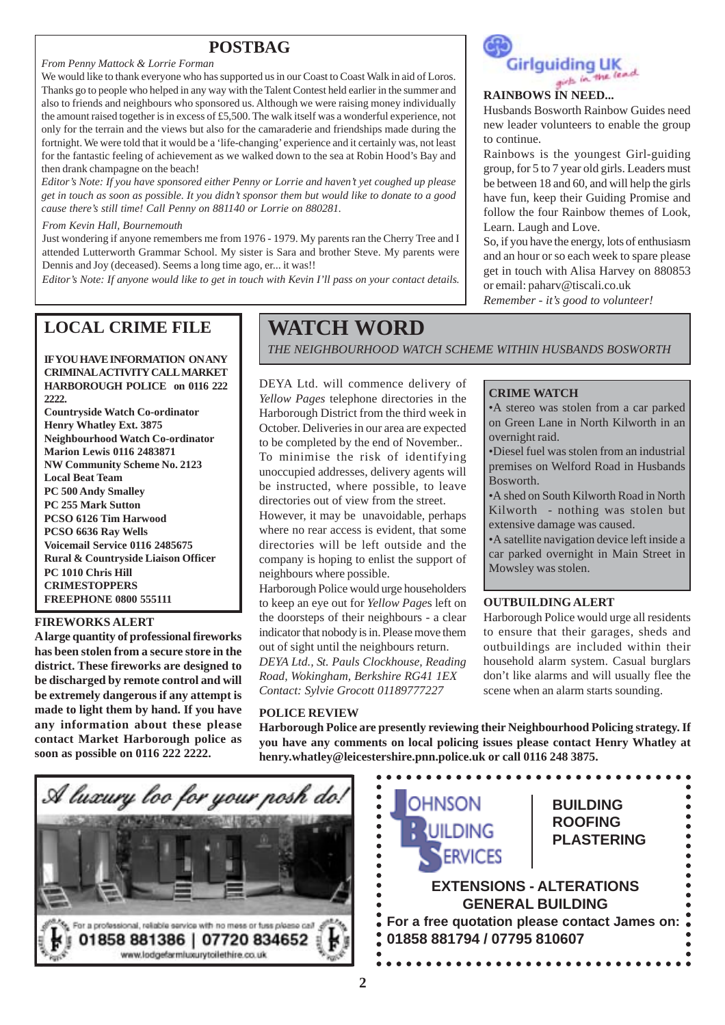### **POSTBAG**

#### *From Penny Mattock & Lorrie Forman*

We would like to thank everyone who has supported us in our Coast to Coast Walk in aid of Loros. Thanks go to people who helped in any way with the Talent Contest held earlier in the summer and also to friends and neighbours who sponsored us. Although we were raising money individually the amount raised together is in excess of £5,500. The walk itself was a wonderful experience, not only for the terrain and the views but also for the camaraderie and friendships made during the fortnight. We were told that it would be a 'life-changing' experience and it certainly was, not least for the fantastic feeling of achievement as we walked down to the sea at Robin Hood's Bay and then drank champagne on the beach!

*Editor's Note: If you have sponsored either Penny or Lorrie and haven't yet coughed up please get in touch as soon as possible. It you didn't sponsor them but would like to donate to a good cause there's still time! Call Penny on 881140 or Lorrie on 880281.*

#### *From Kevin Hall, Bournemouth*

Just wondering if anyone remembers me from 1976 - 1979. My parents ran the Cherry Tree and I attended Lutterworth Grammar School. My sister is Sara and brother Steve. My parents were Dennis and Joy (deceased). Seems a long time ago, er... it was!!

*Editor's Note: If anyone would like to get in touch with Kevin I'll pass on your contact details.*

### **LOCAL CRIME FILE**

**IF YOU HAVE INFORMATION ON ANY CRIMINAL ACTIVITY CALL MARKET HARBOROUGH POLICE on 0116 222 2222.**

**Countryside Watch Co-ordinator Henry Whatley Ext. 3875 Neighbourhood Watch Co-ordinator Marion Lewis 0116 2483871 NW Community Scheme No. 2123 Local Beat Team PC 500 Andy Smalley PC 255 Mark Sutton PCSO 6126 Tim Harwood PCSO 6636 Ray Wells Voicemail Service 0116 2485675 Rural & Countryside Liaison Officer PC 1010 Chris Hill CRIMESTOPPERS FREEPHONE 0800 555111**

#### **FIREWORKS ALERT**

**A large quantity of professional fireworks has been stolen from a secure store in the district. These fireworks are designed to be discharged by remote control and will be extremely dangerous if any attempt is made to light them by hand. If you have any information about these please contact Market Harborough police as soon as possible on 0116 222 2222.**

# **WATCH WORD**

*THE NEIGHBOURHOOD WATCH SCHEME WITHIN HUSBANDS BOSWORTH*

DEYA Ltd. will commence delivery of *Yellow Pages* telephone directories in the Harborough District from the third week in October. Deliveries in our area are expected to be completed by the end of November.. To minimise the risk of identifying unoccupied addresses, delivery agents will be instructed, where possible, to leave directories out of view from the street. However, it may be unavoidable, perhaps

where no rear access is evident, that some directories will be left outside and the company is hoping to enlist the support of neighbours where possible.

Harborough Police would urge householders to keep an eye out for *Yellow Page*s left on the doorsteps of their neighbours - a clear indicator that nobody is in. Please move them out of sight until the neighbours return. *DEYA Ltd., St. Pauls Clockhouse, Reading Road, Wokingham, Berkshire RG41 1EX Contact: Sylvie Grocott 01189777227*

#### **POLICE REVIEW**

**Harborough Police are presently reviewing their Neighbourhood Policing strategy. If you have any comments on local policing issues please contact Henry Whatley at henry.whatley@leicestershire.pnn.police.uk or call 0116 248 3875.**





#### **RAINBOWS IN NEED...**

Husbands Bosworth Rainbow Guides need new leader volunteers to enable the group to continue.

Rainbows is the youngest Girl-guiding group, for 5 to 7 year old girls. Leaders must be between 18 and 60, and will help the girls have fun, keep their Guiding Promise and follow the four Rainbow themes of Look, Learn. Laugh and Love.

So, if you have the energy, lots of enthusiasm and an hour or so each week to spare please get in touch with Alisa Harvey on 880853 or email: paharv@tiscali.co.uk

*Remember - it's good to volunteer!*

#### **CRIME WATCH**

•A stereo was stolen from a car parked on Green Lane in North Kilworth in an overnight raid.

•Diesel fuel was stolen from an industrial premises on Welford Road in Husbands Bosworth.

•A shed on South Kilworth Road in North Kilworth - nothing was stolen but extensive damage was caused.

•A satellite navigation device left inside a car parked overnight in Main Street in Mowsley was stolen.

#### **OUTBUILDING ALERT**

Harborough Police would urge all residents to ensure that their garages, sheds and outbuildings are included within their household alarm system. Casual burglars don't like alarms and will usually flee the scene when an alarm starts sounding.



**EXTENSIONS - ALTERATIONS GENERAL BUILDING For a free quotation please contact James on: 01858 881794 / 07795 810607**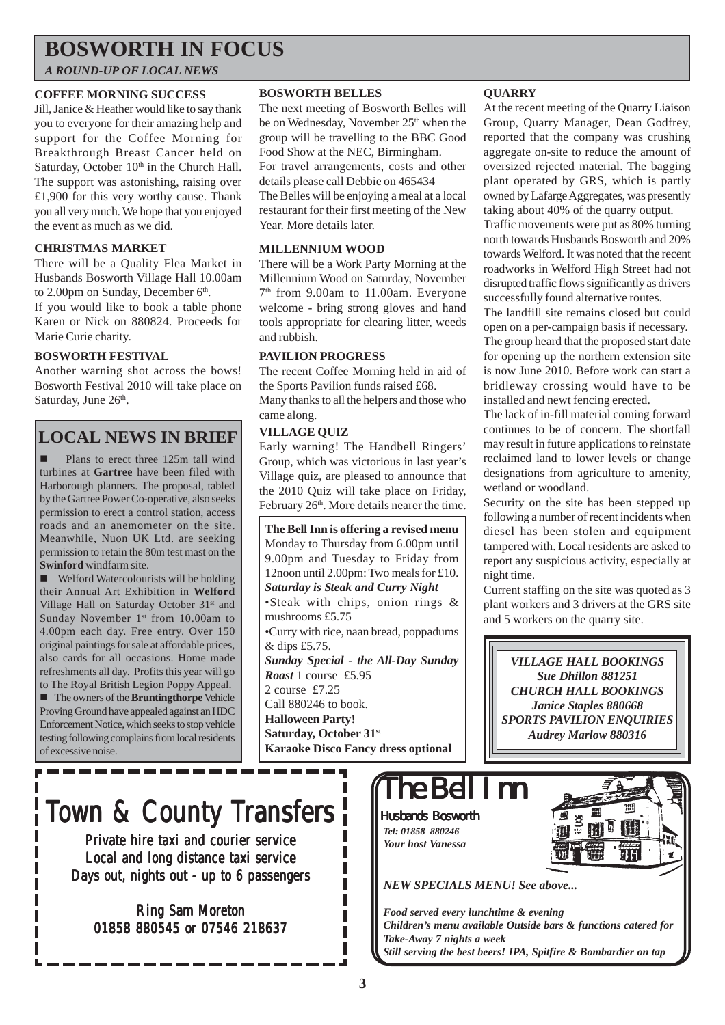# **BOSWORTH IN FOCUS**

*A ROUND-UP OF LOCAL NEWS*

#### **COFFEE MORNING SUCCESS**

Jill, Janice & Heather would like to say thank you to everyone for their amazing help and support for the Coffee Morning for Breakthrough Breast Cancer held on Saturday, October  $10<sup>th</sup>$  in the Church Hall. The support was astonishing, raising over £1,900 for this very worthy cause. Thank you all very much. We hope that you enjoyed the event as much as we did.

#### **CHRISTMAS MARKET**

There will be a Quality Flea Market in Husbands Bosworth Village Hall 10.00am to 2.00pm on Sunday, December  $6<sup>th</sup>$ .

If you would like to book a table phone Karen or Nick on 880824. Proceeds for Marie Curie charity.

#### **BOSWORTH FESTIVAL**

Another warning shot across the bows! Bosworth Festival 2010 will take place on Saturday, June 26<sup>th</sup>.

# **LOCAL NEWS IN BRIEF**

! Plans to erect three 125m tall wind turbines at **Gartree** have been filed with Harborough planners. The proposal, tabled by the Gartree Power Co-operative, also seeks permission to erect a control station, access roads and an anemometer on the site. Meanwhile, Nuon UK Ltd. are seeking permission to retain the 80m test mast on the **Swinford** windfarm site.

 $\blacksquare$  Welford Watercolourists will be holding their Annual Art Exhibition in **Welford** Village Hall on Saturday October 31<sup>st</sup> and Sunday November 1<sup>st</sup> from 10.00am to 4.00pm each day. Free entry. Over 150 original paintings for sale at affordable prices, also cards for all occasions. Home made refreshments all day. Profits this year will go to The Royal British Legion Poppy Appeal. ! The owners of the **Bruntingthorpe** Vehicle Proving Ground have appealed against an HDC Enforcement Notice, which seeks to stop vehicle testing following complains from local residents of excessive noise.

#### **BOSWORTH BELLES**

The next meeting of Bosworth Belles will be on Wednesday, November 25<sup>th</sup> when the group will be travelling to the BBC Good Food Show at the NEC, Birmingham. For travel arrangements, costs and other

details please call Debbie on 465434

The Belles will be enjoying a meal at a local restaurant for their first meeting of the New Year. More details later.

#### **MILLENNIUM WOOD**

There will be a Work Party Morning at the Millennium Wood on Saturday, November 7th from 9.00am to 11.00am. Everyone welcome - bring strong gloves and hand tools appropriate for clearing litter, weeds and rubbish.

#### **PAVILION PROGRESS**

The recent Coffee Morning held in aid of the Sports Pavilion funds raised £68. Many thanks to all the helpers and those who came along.

#### **VILLAGE QUIZ**

Early warning! The Handbell Ringers' Group, which was victorious in last year's Village quiz, are pleased to announce that the 2010 Quiz will take place on Friday, February 26<sup>th</sup>. More details nearer the time.

**The Bell Inn is offering a revised menu** Monday to Thursday from 6.00pm until 9.00pm and Tuesday to Friday from 12noon until 2.00pm: Two meals for £10. *Saturday is Steak and Curry Night* •Steak with chips, onion rings & mushrooms £5.75 •Curry with rice, naan bread, poppadums & dips £5.75. *Sunday Special - the All-Day Sunday Roast* 1 course £5.95 2 course £7.25 Call 880246 to book. **Halloween Party! Saturday, October 31st Karaoke Disco Fancy dress optional**

#### **QUARRY**

At the recent meeting of the Quarry Liaison Group, Quarry Manager, Dean Godfrey, reported that the company was crushing aggregate on-site to reduce the amount of oversized rejected material. The bagging plant operated by GRS, which is partly owned by Lafarge Aggregates, was presently taking about 40% of the quarry output.

Traffic movements were put as 80% turning north towards Husbands Bosworth and 20% towards Welford. It was noted that the recent roadworks in Welford High Street had not disrupted traffic flows significantly as drivers successfully found alternative routes.

The landfill site remains closed but could open on a per-campaign basis if necessary. The group heard that the proposed start date

for opening up the northern extension site is now June 2010. Before work can start a bridleway crossing would have to be installed and newt fencing erected.

The lack of in-fill material coming forward continues to be of concern. The shortfall may result in future applications to reinstate reclaimed land to lower levels or change designations from agriculture to amenity, wetland or woodland.

Security on the site has been stepped up following a number of recent incidents when diesel has been stolen and equipment tampered with. Local residents are asked to report any suspicious activity, especially at night time.

Current staffing on the site was quoted as 3 plant workers and 3 drivers at the GRS site and 5 workers on the quarry site.

*VILLAGE HALL BOOKINGS Sue Dhillon 881251 CHURCH HALL BOOKINGS Janice Staples 880668 SPORTS PAVILION ENQUIRIES Audrey Marlow 880316*

# Town & County Transfers

Private hire taxi and courier service Local and long distance taxi service Days out, nights out - up to 6 passengers

Ring Sam Moreton 01858 880545 or 07546 218637





*NEW SPECIALS MENU! See above...*

*Food served every lunchtime & evening Children's menu available Outside bars & functions catered for Take-Away 7 nights a week Still serving the best beers! IPA, Spitfire & Bombardier on tap*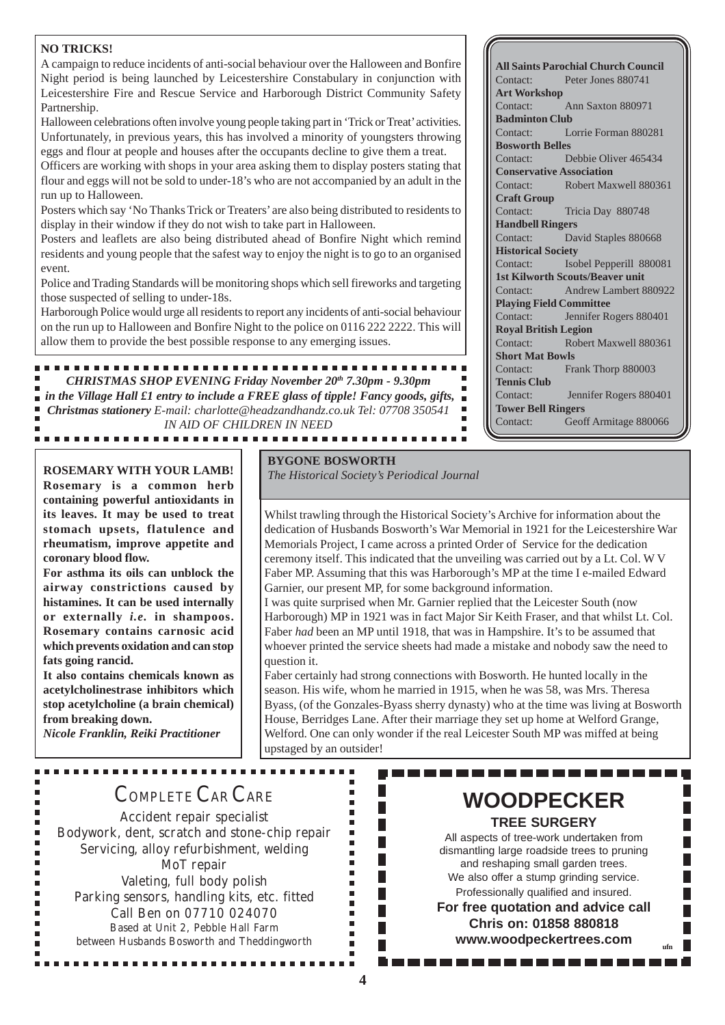#### **NO TRICKS!**

A campaign to reduce incidents of anti-social behaviour over the Halloween and Bonfire Night period is being launched by Leicestershire Constabulary in conjunction with Leicestershire Fire and Rescue Service and Harborough District Community Safety Partnership.

Halloween celebrations often involve young people taking part in 'Trick or Treat' activities. Unfortunately, in previous years, this has involved a minority of youngsters throwing eggs and flour at people and houses after the occupants decline to give them a treat.

Officers are working with shops in your area asking them to display posters stating that flour and eggs will not be sold to under-18's who are not accompanied by an adult in the run up to Halloween.

Posters which say 'No Thanks Trick or Treaters' are also being distributed to residents to display in their window if they do not wish to take part in Halloween.

Posters and leaflets are also being distributed ahead of Bonfire Night which remind residents and young people that the safest way to enjoy the night is to go to an organised event.

Police and Trading Standards will be monitoring shops which sell fireworks and targeting those suspected of selling to under-18s.

Harborough Police would urge all residents to report any incidents of anti-social behaviour on the run up to Halloween and Bonfire Night to the police on 0116 222 2222. This will allow them to provide the best possible response to any emerging issues.

............................... *CHRISTMAS SHOP EVENING Friday November 20th 7.30pm - 9.30pm in the Village Hall £1 entry to include a FREE glass of tipple! Fancy goods, gifts, Christmas stationery E-mail: charlotte@headzandhandz.co.uk Tel: 07708 350541 IN AID OF CHILDREN IN NEED*-------

**ROSEMARY WITH YOUR LAMB! Rosemary is a common herb containing powerful antioxidants in its leaves. It may be used to treat stomach upsets, flatulence and rheumatism, improve appetite and coronary blood flow.**

**For asthma its oils can unblock the airway constrictions caused by histamines. It can be used internally or externally** *i.e.* **in shampoos. Rosemary contains carnosic acid which prevents oxidation and can stop fats going rancid.**

**It also contains chemicals known as acetylcholinestrase inhibitors which stop acetylcholine (a brain chemical) from breaking down.**

*Nicole Franklin, Reiki Practitioner*

### **BYGONE BOSWORTH**

*The Historical Society's Periodical Journal*

Whilst trawling through the Historical Society's Archive for information about the dedication of Husbands Bosworth's War Memorial in 1921 for the Leicestershire War Memorials Project, I came across a printed Order of Service for the dedication ceremony itself. This indicated that the unveiling was carried out by a Lt. Col. W V Faber MP. Assuming that this was Harborough's MP at the time I e-mailed Edward Garnier, our present MP, for some background information.

I was quite surprised when Mr. Garnier replied that the Leicester South (now Harborough) MP in 1921 was in fact Major Sir Keith Fraser, and that whilst Lt. Col. Faber *had* been an MP until 1918, that was in Hampshire. It's to be assumed that whoever printed the service sheets had made a mistake and nobody saw the need to question it.

Faber certainly had strong connections with Bosworth. He hunted locally in the season. His wife, whom he married in 1915, when he was 58, was Mrs. Theresa Byass, (of the Gonzales-Byass sherry dynasty) who at the time was living at Bosworth House, Berridges Lane. After their marriage they set up home at Welford Grange, Welford. One can only wonder if the real Leicester South MP was miffed at being upstaged by an outsider!

# COMPLETE CAR CARE

Accident repair specialist Bodywork, dent, scratch and stone-chip repair Servicing, alloy refurbishment, welding MoT repair Valeting, full body polish Parking sensors, handling kits, etc. fitted Call Ben on 07710 024070 Based at Unit 2, Pebble Hall Farm between Husbands Bosworth and Theddingworth

## **WOODPECKER TREE SURGERY**

. . . . . . . . . . . .

All aspects of tree-work undertaken from dismantling large roadside trees to pruning and reshaping small garden trees. We also offer a stump grinding service. Professionally qualified and insured. **For free quotation and advice call Chris on: 01858 880818 www.woodpeckertrees.com ufn**

**All Saints Parochial Church Council** Contact: Peter Jones 880741 **Art Workshop** Contact: Ann Saxton 880971 **Badminton Club** Contact: Lorrie Forman 880281 **Bosworth Belles** Contact: Debbie Oliver 465434 **Conservative Association** Contact: Robert Maxwell 880361 **Craft Group** Contact: Tricia Day 880748 **Handbell Ringers** Contact: David Staples 880668 **Historical Society** Contact: Isobel Pepperill 880081 **1st Kilworth Scouts/Beaver unit** Contact: Andrew Lambert 880922 **Playing Field Committee** Contact: Jennifer Rogers 880401 **Royal British Legion** Contact: Robert Maxwell 880361 **Short Mat Bowls** Contact: Frank Thorp 880003 **Tennis Club**

- Contact: Jennifer Rogers 880401 **Tower Bell Ringers**
- Contact: Geoff Armitage 880066

F.

 $\overline{\phantom{a}}$ 

 $\overline{\phantom{a}}$ 

 $\overline{\phantom{a}}$ 

 $\overline{\phantom{a}}$ 

 $\blacksquare$  $\blacksquare$ 

 $\blacksquare$  $\blacksquare$  $\blacksquare$ 

×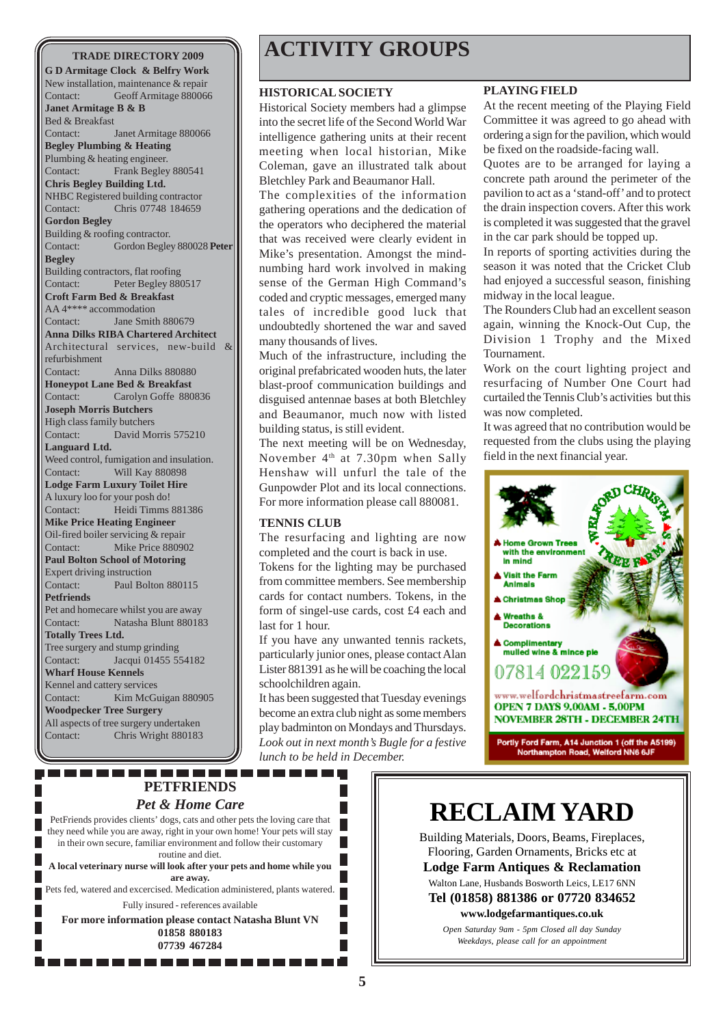**G D Armitage Clock & Belfry Work** New installation, maintenance & repair Contact: Geoff Armitage 880066 **Janet Armitage B & B** Bed & Breakfast Contact: Janet Armitage 880066 **Begley Plumbing & Heating** Plumbing & heating engineer. Contact: Frank Begley 880541 **Chris Begley Building Ltd.** NHBC Registered building contractor Contact: Chris 07748 184659 **Gordon Begley** Building & roofing contractor. Contact: Gordon Begley 880028 **Peter Begley** Building contractors, flat roofing Contact: Peter Begley 880517 **Croft Farm Bed & Breakfast** AA 4\*\*\*\* accommodation Contact: Jane Smith 880679 **Anna Dilks RIBA Chartered Architect** Architectural services, new-build & refurbishment Contact: Anna Dilks 880880 **Honeypot Lane Bed & Breakfast** Contact: Carolyn Goffe 880836 **Joseph Morris Butchers** High class family butchers Contact: David Morris 575210 **Languard Ltd.** Weed control, fumigation and insulation. Contact: Will Kay 880898 **Lodge Farm Luxury Toilet Hire** A luxury loo for your posh do! Contact: Heidi Timms 881386 **Mike Price Heating Engineer** Oil-fired boiler servicing & repair Contact: Mike Price 880902 **Paul Bolton School of Motoring** Expert driving instruction Contact: Paul Bolton 880115 **Petfriends** Pet and homecare whilst you are away Contact: Natasha Blunt 880183 **Totally Trees Ltd.** Tree surgery and stump grinding Contact: Jacqui 01455 554182 **Wharf House Kennels** Kennel and cattery services Contact: Kim McGuigan 880905 **Woodpecker Tree Surgery** All aspects of tree surgery undertaken Contact: Chris Wright 880183

# **TRADE DIRECTORY 2009 ACTIVITY GROUPS**

#### **HISTORICAL SOCIETY**

Historical Society members had a glimpse into the secret life of the Second World War intelligence gathering units at their recent meeting when local historian, Mike Coleman, gave an illustrated talk about Bletchley Park and Beaumanor Hall.

The complexities of the information gathering operations and the dedication of the operators who deciphered the material that was received were clearly evident in Mike's presentation. Amongst the mindnumbing hard work involved in making sense of the German High Command's coded and cryptic messages, emerged many tales of incredible good luck that undoubtedly shortened the war and saved many thousands of lives.

Much of the infrastructure, including the original prefabricated wooden huts, the later blast-proof communication buildings and disguised antennae bases at both Bletchley and Beaumanor, much now with listed building status, is still evident.

The next meeting will be on Wednesday, November  $4<sup>th</sup>$  at 7.30pm when Sally Henshaw will unfurl the tale of the Gunpowder Plot and its local connections. For more information please call 880081.

#### **TENNIS CLUB**

The resurfacing and lighting are now completed and the court is back in use. Tokens for the lighting may be purchased from committee members. See membership cards for contact numbers. Tokens, in the form of singel-use cards, cost £4 each and

last for 1 hour. If you have any unwanted tennis rackets, particularly junior ones, please contact Alan Lister 881391 as he will be coaching the local schoolchildren again.

It has been suggested that Tuesday evenings become an extra club night as some members play badminton on Mondays and Thursdays. *Look out in next month's Bugle for a festive lunch to be held in December.*

> П н

#### **PLAYING FIELD**

At the recent meeting of the Playing Field Committee it was agreed to go ahead with ordering a sign for the pavilion, which would be fixed on the roadside-facing wall.

Quotes are to be arranged for laying a concrete path around the perimeter of the pavilion to act as a 'stand-off' and to protect the drain inspection covers. After this work is completed it was suggested that the gravel in the car park should be topped up.

In reports of sporting activities during the season it was noted that the Cricket Club had enjoyed a successful season, finishing midway in the local league.

The Rounders Club had an excellent season again, winning the Knock-Out Cup, the Division 1 Trophy and the Mixed Tournament.

Work on the court lighting project and resurfacing of Number One Court had curtailed the Tennis Club's activities but this was now completed.

It was agreed that no contribution would be requested from the clubs using the playing field in the next financial year.



#### ------**PETFRIENDS** *Pet & Home Care*

PetFriends provides clients' dogs, cats and other pets the loving care that they need while you are away, right in your own home! Your pets will stay in their own secure, familiar environment and follow their customary routine and diet. **A local veterinary nurse will look after your pets and home while you are away.** Pets fed, watered and excercised. Medication administered, plants watered. Fully insured - references available **For more information please contact Natasha Blunt VN 01858 880183**

**07739 467284**

# **RECLAIM YARD**

Building Materials, Doors, Beams, Fireplaces, Flooring, Garden Ornaments, Bricks etc at **Lodge Farm Antiques & Reclamation** Walton Lane, Husbands Bosworth Leics, LE17 6NN **Tel (01858) 881386 or 07720 834652 www.lodgefarmantiques.co.uk**

*Open Saturday 9am - 5pm Closed all day Sunday Weekdays, please call for an appointment*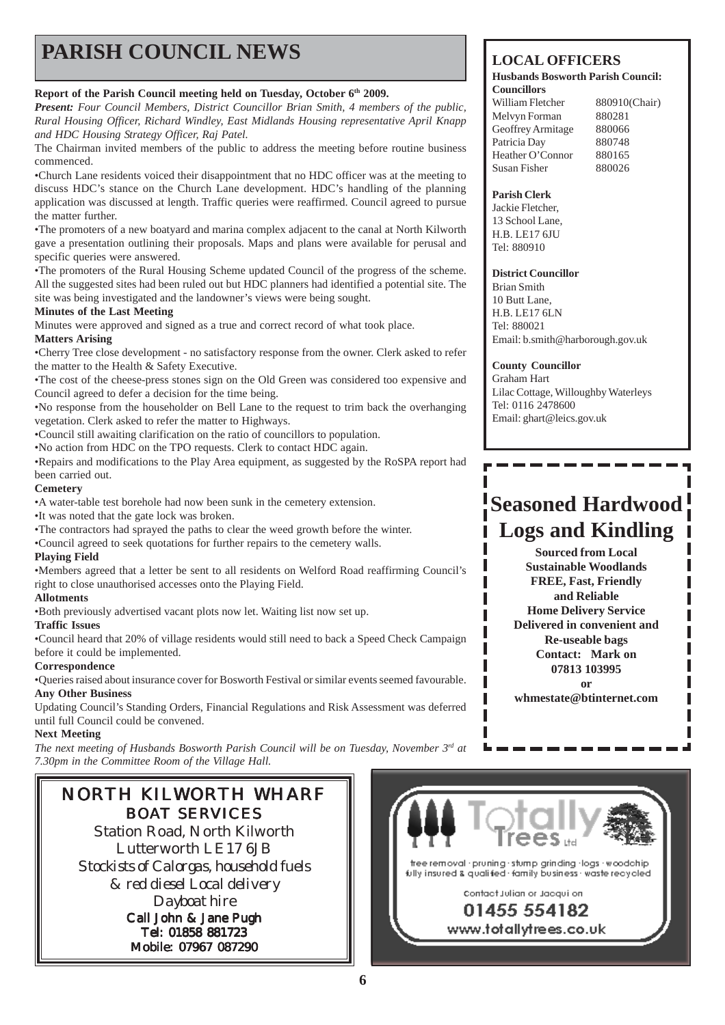# **PARISH COUNCIL NEWS** LOCAL OFFICERS

#### **Report of the Parish Council meeting held on Tuesday, October 6th 2009.**

*Present: Four Council Members, District Councillor Brian Smith, 4 members of the public, Rural Housing Officer, Richard Windley, East Midlands Housing representative April Knapp and HDC Housing Strategy Officer, Raj Patel.*

The Chairman invited members of the public to address the meeting before routine business commenced.

•Church Lane residents voiced their disappointment that no HDC officer was at the meeting to discuss HDC's stance on the Church Lane development. HDC's handling of the planning application was discussed at length. Traffic queries were reaffirmed. Council agreed to pursue the matter further.

•The promoters of a new boatyard and marina complex adjacent to the canal at North Kilworth gave a presentation outlining their proposals. Maps and plans were available for perusal and specific queries were answered.

•The promoters of the Rural Housing Scheme updated Council of the progress of the scheme. All the suggested sites had been ruled out but HDC planners had identified a potential site. The site was being investigated and the landowner's views were being sought.

#### **Minutes of the Last Meeting**

Minutes were approved and signed as a true and correct record of what took place. **Matters Arising**

•Cherry Tree close development - no satisfactory response from the owner. Clerk asked to refer the matter to the Health & Safety Executive.

•The cost of the cheese-press stones sign on the Old Green was considered too expensive and Council agreed to defer a decision for the time being.

•No response from the householder on Bell Lane to the request to trim back the overhanging vegetation. Clerk asked to refer the matter to Highways.

•Council still awaiting clarification on the ratio of councillors to population.

•No action from HDC on the TPO requests. Clerk to contact HDC again.

•Repairs and modifications to the Play Area equipment, as suggested by the RoSPA report had been carried out.

#### **Cemetery**

•A water-table test borehole had now been sunk in the cemetery extension.

•It was noted that the gate lock was broken.

•The contractors had sprayed the paths to clear the weed growth before the winter.

•Council agreed to seek quotations for further repairs to the cemetery walls.

#### **Playing Field**

•Members agreed that a letter be sent to all residents on Welford Road reaffirming Council's right to close unauthorised accesses onto the Playing Field.

#### **Allotments**

•Both previously advertised vacant plots now let. Waiting list now set up.

#### **Traffic Issues**

•Council heard that 20% of village residents would still need to back a Speed Check Campaign before it could be implemented.

#### **Correspondence**

•Queries raised about insurance cover for Bosworth Festival or similar events seemed favourable. **Any Other Business**

Updating Council's Standing Orders, Financial Regulations and Risk Assessment was deferred until full Council could be convened.

#### **Next Meeting**

*The next meeting of Husbands Bosworth Parish Council will be on Tuesday, November 3rd at 7.30pm in the Committee Room of the Village Hall.*

# NORTH KILWORTH WHARF BOAT SERVICES

Station Road, North Kilworth Lutterworth LE17 6JB *Stockists of Calorgas, household fuels & red diesel Local delivery Dayboat hire* Call John & Jane Pugh

Tel: 01858 881723 Mobile: 07967 087290

#### **Husbands Bosworth Parish Council: Councillors**

William Fletcher 880910(Chair) Melvyn Forman 880281 Geoffrey Armitage 880066 Patricia Day 880748 Heather O'Connor 880165 Susan Fisher 880026

#### **Parish Clerk**

Jackie Fletcher, 13 School Lane, H.B. LE17 6JU Tel: 880910

#### **District Councillor**

Brian Smith 10 Butt Lane, H.B. LE17 6LN Tel: 880021 Email: b.smith@harborough.gov.uk

**County Councillor**

Graham Hart Lilac Cottage, Willoughby Waterleys Tel: 0116 2478600 Email: ghart@leics.gov.uk

# **Seasoned Hardwood Logs and Kindling**

**Sourced from Local Sustainable Woodlands FREE, Fast, Friendly and Reliable Home Delivery Service Delivered in convenient and Re-useable bags Contact: Mark on 07813 103995**

**or whmestate@btinternet.com**

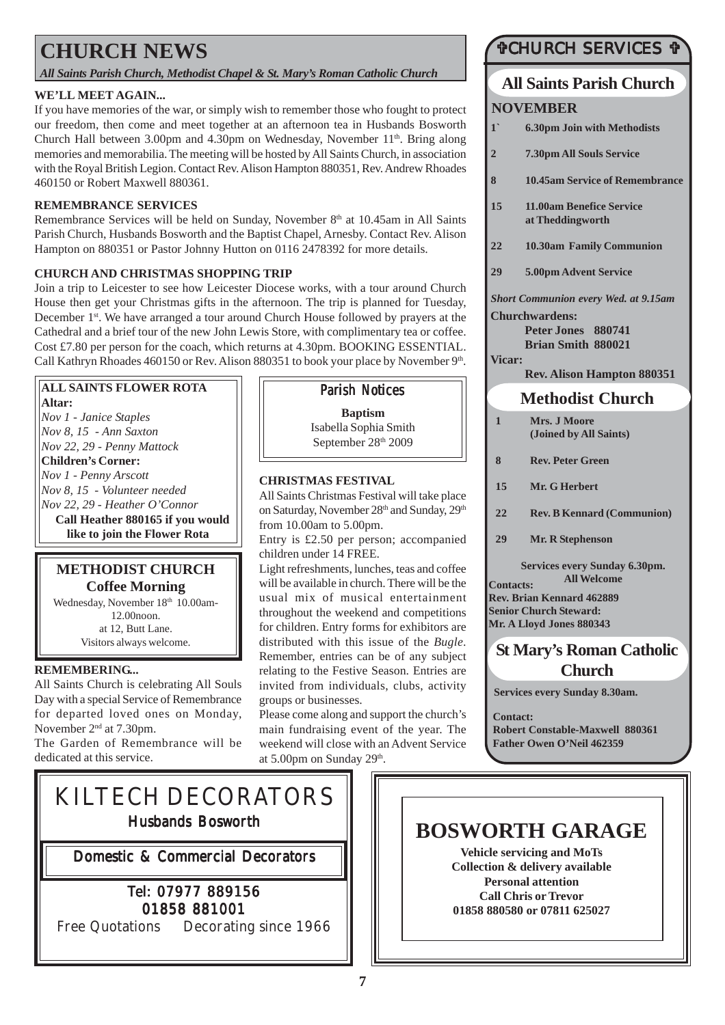# **CHURCH NEWS**

*All Saints Parish Church, Methodist Chapel & St. Mary's Roman Catholic Church*

#### **WE'LL MEET AGAIN...**

If you have memories of the war, or simply wish to remember those who fought to protect our freedom, then come and meet together at an afternoon tea in Husbands Bosworth Church Hall between 3.00pm and 4.30pm on Wednesday, November 11<sup>th</sup>. Bring along memories and memorabilia. The meeting will be hosted by All Saints Church, in association with the Royal British Legion. Contact Rev. Alison Hampton 880351, Rev. Andrew Rhoades 460150 or Robert Maxwell 880361.

#### **REMEMBRANCE SERVICES**

Remembrance Services will be held on Sunday, November 8<sup>th</sup> at 10.45am in All Saints Parish Church, Husbands Bosworth and the Baptist Chapel, Arnesby. Contact Rev. Alison Hampton on 880351 or Pastor Johnny Hutton on 0116 2478392 for more details.

#### **CHURCH AND CHRISTMAS SHOPPING TRIP**

Join a trip to Leicester to see how Leicester Diocese works, with a tour around Church House then get your Christmas gifts in the afternoon. The trip is planned for Tuesday, December 1st. We have arranged a tour around Church House followed by prayers at the Cathedral and a brief tour of the new John Lewis Store, with complimentary tea or coffee. Cost £7.80 per person for the coach, which returns at 4.30pm. BOOKING ESSENTIAL. Call Kathryn Rhoades 460150 or Rev. Alison 880351 to book your place by November 9<sup>th</sup>.

## **ALL SAINTS FLOWER ROTA** | **Parish Notices**

**Altar:** *Nov 1 - Janice Staples Nov 8, 15 - Ann Saxton Nov 22, 29 - Penny Mattock* **Children's Corner:** *Nov 1 - Penny Arscott Nov 8, 15 - Volunteer needed Nov 22, 29 - Heather O'Connor* **Call Heather 880165 if you would like to join the Flower Rota**

### **METHODIST CHURCH Coffee Morning**

Wednesday, November 18<sup>th</sup> 10.00am-12.00noon. at 12, Butt Lane. Visitors always welcome.

### **REMEMBERING...**

All Saints Church is celebrating All Souls Day with a special Service of Remembrance for departed loved ones on Monday, November 2nd at 7.30pm.

The Garden of Remembrance will be dedicated at this service.

**Baptism** Isabella Sophia Smith September 28<sup>th</sup> 2009

#### **CHRISTMAS FESTIVAL**

All Saints Christmas Festival will take place on Saturday, November 28<sup>th</sup> and Sunday, 29<sup>th</sup> from 10.00am to 5.00pm.

Entry is £2.50 per person; accompanied children under 14 FREE.

Light refreshments, lunches, teas and coffee will be available in church. There will be the usual mix of musical entertainment throughout the weekend and competitions for children. Entry forms for exhibitors are distributed with this issue of the *Bugle*. Remember, entries can be of any subject relating to the Festive Season. Entries are invited from individuals, clubs, activity groups or businesses.

Please come along and support the church's main fundraising event of the year. The weekend will close with an Advent Service at  $5.00$ pm on Sunday  $29<sup>th</sup>$ .

### #CHURCH SERVICES #

### **All Saints Parish Church NOVEMBER**

- **1` 6.30pm Join with Methodists**
- **2 7.30pm All Souls Service**
- **8 10.45am Service of Remembrance**
- **15 11.00am Benefice Service at Theddingworth**
- **22 10.30am Family Communion**
- **29 5.00pm Advent Service**

*Short Communion every Wed. at 9.15am*

**Churchwardens: Peter Jones 880741**

**Brian Smith 880021**

#### **Vicar:**

**Rev. Alison Hampton 880351**

## **Methodist Church**

- **1 Mrs. J Moore (Joined by All Saints)**
- **8 Rev. Peter Green**
- **15 Mr. G Herbert**
- **22 Rev. B Kennard (Communion)**
- **29 Mr. R Stephenson**

**Services every Sunday 6.30pm. All Welcome**

**Contacts: Rev. Brian Kennard 462889 Senior Church Steward: Mr. A Lloyd Jones 880343**

## **St Mary's Roman Catholic Church**

**Services every Sunday 8.30am.**

**Contact: Robert Constable-Maxwell 880361 Father Owen O'Neil 462359**

# KILTECH DECORATORS Husbands Bosworth

Domestic & Commercial Decorators

### Tel: 07977 889156 01858 881001

Free Quotations Decorating since 1966

# **BOSWORTH GARAGE**

**Vehicle servicing and MoTs Collection & delivery available Personal attention Call Chris or Trevor 01858 880580 or 07811 625027**